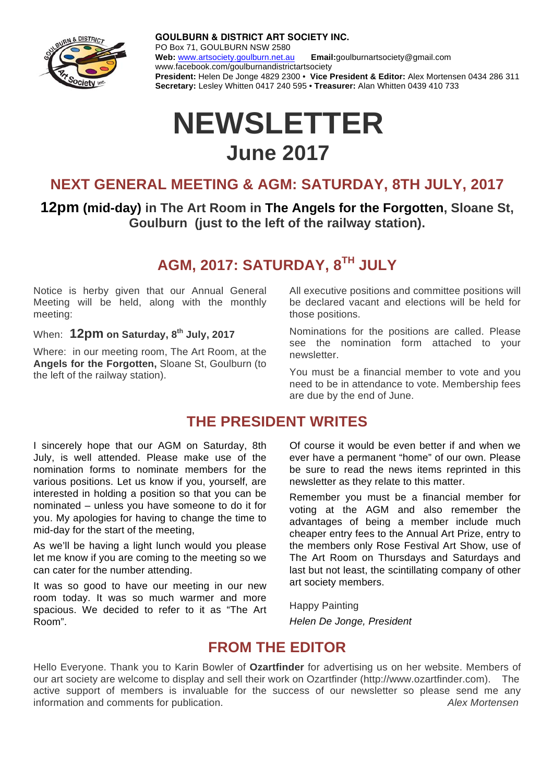

**GOULBURN & DISTRICT ART SOCIETY INC.** PO Box 71, GOULBURN NSW 2580 **Web:** www.artsociety.goulburn.net.au **Email:**goulburnartsociety@gmail.com www.facebook.com/goulburnandistrictartsociety **President:** Helen De Jonge 4829 2300 • **Vice President & Editor:** Alex Mortensen 0434 286 311 **Secretary:** Lesley Whitten 0417 240 595 • **Treasurer:** Alan Whitten 0439 410 733

# **NEWSLETTER June 2017**

## **NEXT GENERAL MEETING & AGM: SATURDAY, 8TH JULY, 2017**

**12pm (mid-day) in The Art Room in The Angels for the Forgotten, Sloane St, Goulburn (just to the left of the railway station).** 

## **AGM, 2017: SATURDAY, 8TH JULY**

Notice is herby given that our Annual General Meeting will be held, along with the monthly meeting:

When: 12pm on Saturday, 8<sup>th</sup> July, 2017

Where: in our meeting room, The Art Room, at the **Angels for the Forgotten,** Sloane St, Goulburn (to the left of the railway station).

All executive positions and committee positions will be declared vacant and elections will be held for those positions.

Nominations for the positions are called. Please see the nomination form attached to your newsletter.

You must be a financial member to vote and you need to be in attendance to vote. Membership fees are due by the end of June.

#### **THE PRESIDENT WRITES**

I sincerely hope that our AGM on Saturday, 8th July, is well attended. Please make use of the nomination forms to nominate members for the various positions. Let us know if you, yourself, are interested in holding a position so that you can be nominated – unless you have someone to do it for you. My apologies for having to change the time to mid-day for the start of the meeting,

As we'll be having a light lunch would you please let me know if you are coming to the meeting so we can cater for the number attending.

It was so good to have our meeting in our new room today. It was so much warmer and more spacious. We decided to refer to it as "The Art Room".

 Of course it would be even better if and when we ever have a permanent "home" of our own. Please be sure to read the news items reprinted in this newsletter as they relate to this matter.

Remember you must be a financial member for voting at the AGM and also remember the advantages of being a member include much cheaper entry fees to the Annual Art Prize, entry to the members only Rose Festival Art Show, use of The Art Room on Thursdays and Saturdays and last but not least, the scintillating company of other art society members.

Happy Painting *Helen De Jonge, President* 

## **FROM THE EDITOR**

Hello Everyone. Thank you to Karin Bowler of **Ozartfinder** for advertising us on her website. Members of our art society are welcome to display and sell their work on Ozartfinder (http://www.ozartfinder.com). The active support of members is invaluable for the success of our newsletter so please send me any information and comments for publication. *Alex Mortensen*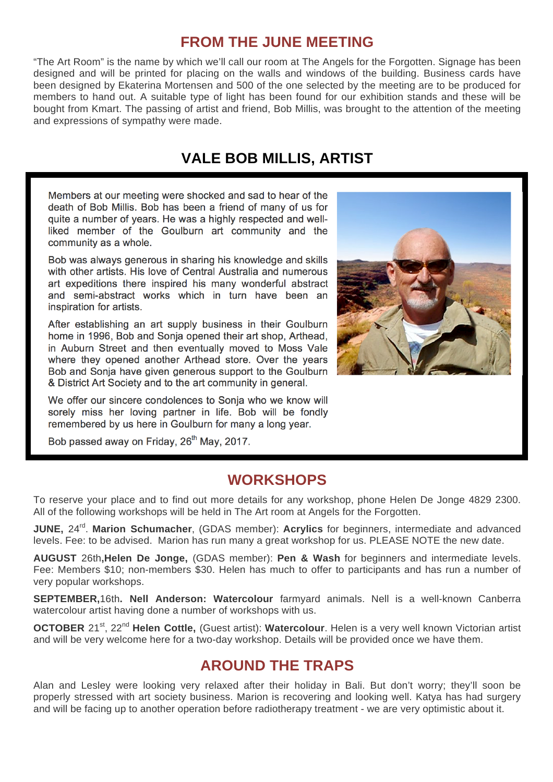### **FROM THE JUNE MEETING**

"The Art Room" is the name by which we'll call our room at The Angels for the Forgotten. Signage has been designed and will be printed for placing on the walls and windows of the building. Business cards have been designed by Ekaterina Mortensen and 500 of the one selected by the meeting are to be produced for members to hand out. A suitable type of light has been found for our exhibition stands and these will be bought from Kmart. The passing of artist and friend, Bob Millis, was brought to the attention of the meeting and expressions of sympathy were made.

## **VALE BOB MILLIS, ARTIST**

Members at our meeting were shocked and sad to hear of the death of Bob Millis. Bob has been a friend of many of us for quite a number of years. He was a highly respected and wellliked member of the Goulburn art community and the community as a whole.

Bob was always generous in sharing his knowledge and skills with other artists. His love of Central Australia and numerous art expeditions there inspired his many wonderful abstract and semi-abstract works which in turn have been an inspiration for artists.

After establishing an art supply business in their Goulburn home in 1996, Bob and Sonja opened their art shop, Arthead, in Auburn Street and then eventually moved to Moss Vale where they opened another Arthead store. Over the years Bob and Sonja have given generous support to the Goulburn & District Art Society and to the art community in general.

We offer our sincere condolences to Sonja who we know will sorely miss her loving partner in life. Bob will be fondly remembered by us here in Goulburn for many a long year.

Bob passed away on Friday, 26<sup>th</sup> May, 2017.



### **WORKSHOPS**

To reserve your place and to find out more details for any workshop, phone Helen De Jonge 4829 2300. All of the following workshops will be held in The Art room at Angels for the Forgotten.

**JUNE**, 24<sup>rd</sup>. Marion Schumacher, (GDAS member): Acrylics for beginners, intermediate and advanced levels. Fee: to be advised. Marion has run many a great workshop for us. PLEASE NOTE the new date.

**AUGUST** 26th**,Helen De Jonge,** (GDAS member): **Pen & Wash** for beginners and intermediate levels. Fee: Members \$10; non-members \$30. Helen has much to offer to participants and has run a number of very popular workshops.

**SEPTEMBER,**16th**. Nell Anderson: Watercolour** farmyard animals. Nell is a well-known Canberra watercolour artist having done a number of workshops with us.

**OCTOBER** 21<sup>st</sup>, 22<sup>nd</sup> Helen Cottle, (Guest artist): Watercolour. Helen is a very well known Victorian artist and will be very welcome here for a two-day workshop. Details will be provided once we have them.

## **AROUND THE TRAPS**

Alan and Lesley were looking very relaxed after their holiday in Bali. But don't worry; they'll soon be properly stressed with art society business. Marion is recovering and looking well. Katya has had surgery and will be facing up to another operation before radiotherapy treatment - we are very optimistic about it.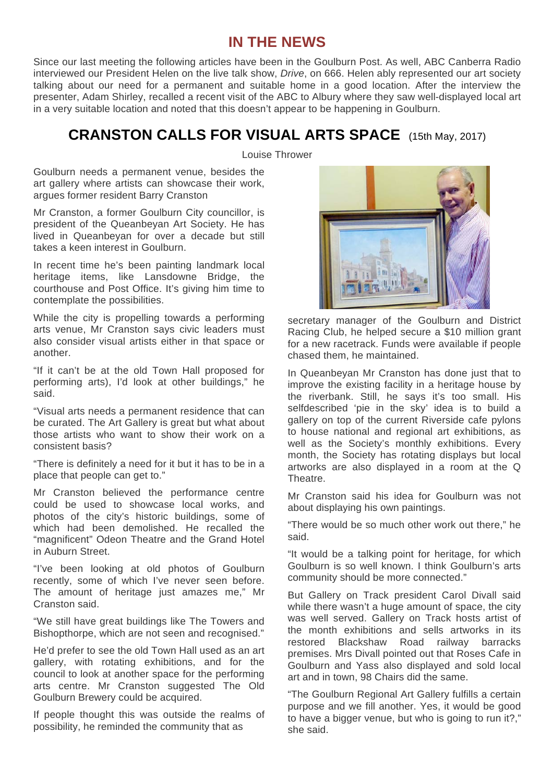#### **IN THE NEWS**

Since our last meeting the following articles have been in the Goulburn Post. As well, ABC Canberra Radio interviewed our President Helen on the live talk show, *Drive*, on 666. Helen ably represented our art society talking about our need for a permanent and suitable home in a good location. After the interview the presenter, Adam Shirley, recalled a recent visit of the ABC to Albury where they saw well-displayed local art in a very suitable location and noted that this doesn't appear to be happening in Goulburn.

## **CRANSTON CALLS FOR VISUAL ARTS SPACE** (15th May, 2017)

Louise Thrower

Goulburn needs a permanent venue, besides the art gallery where artists can showcase their work, argues former resident Barry Cranston

Mr Cranston, a former Goulburn City councillor, is president of the Queanbeyan Art Society. He has lived in Queanbeyan for over a decade but still takes a keen interest in Goulburn.

In recent time he's been painting landmark local heritage items, like Lansdowne Bridge, the courthouse and Post Office. It's giving him time to contemplate the possibilities.

While the city is propelling towards a performing arts venue, Mr Cranston says civic leaders must also consider visual artists either in that space or another.

"If it can't be at the old Town Hall proposed for performing arts), I'd look at other buildings," he said.

"Visual arts needs a permanent residence that can be curated. The Art Gallery is great but what about those artists who want to show their work on a consistent basis?

"There is definitely a need for it but it has to be in a place that people can get to."

Mr Cranston believed the performance centre could be used to showcase local works, and photos of the city's historic buildings, some of which had been demolished. He recalled the "magnificent" Odeon Theatre and the Grand Hotel in Auburn Street.

"I've been looking at old photos of Goulburn recently, some of which I've never seen before. The amount of heritage just amazes me," Mr Cranston said.

"We still have great buildings like The Towers and Bishopthorpe, which are not seen and recognised."

He'd prefer to see the old Town Hall used as an art gallery, with rotating exhibitions, and for the council to look at another space for the performing arts centre. Mr Cranston suggested The Old Goulburn Brewery could be acquired.

If people thought this was outside the realms of possibility, he reminded the community that as



secretary manager of the Goulburn and District Racing Club, he helped secure a \$10 million grant for a new racetrack. Funds were available if people chased them, he maintained.

In Queanbeyan Mr Cranston has done just that to improve the existing facility in a heritage house by the riverbank. Still, he says it's too small. His selfdescribed 'pie in the sky' idea is to build a gallery on top of the current Riverside cafe pylons to house national and regional art exhibitions, as well as the Society's monthly exhibitions. Every month, the Society has rotating displays but local artworks are also displayed in a room at the Q **Theatre** 

Mr Cranston said his idea for Goulburn was not about displaying his own paintings.

"There would be so much other work out there," he said.

"It would be a talking point for heritage, for which Goulburn is so well known. I think Goulburn's arts community should be more connected."

But Gallery on Track president Carol Divall said while there wasn't a huge amount of space, the city was well served. Gallery on Track hosts artist of the month exhibitions and sells artworks in its restored Blackshaw Road railway barracks premises. Mrs Divall pointed out that Roses Cafe in Goulburn and Yass also displayed and sold local art and in town, 98 Chairs did the same.

"The Goulburn Regional Art Gallery fulfills a certain purpose and we fill another. Yes, it would be good to have a bigger venue, but who is going to run it?," she said.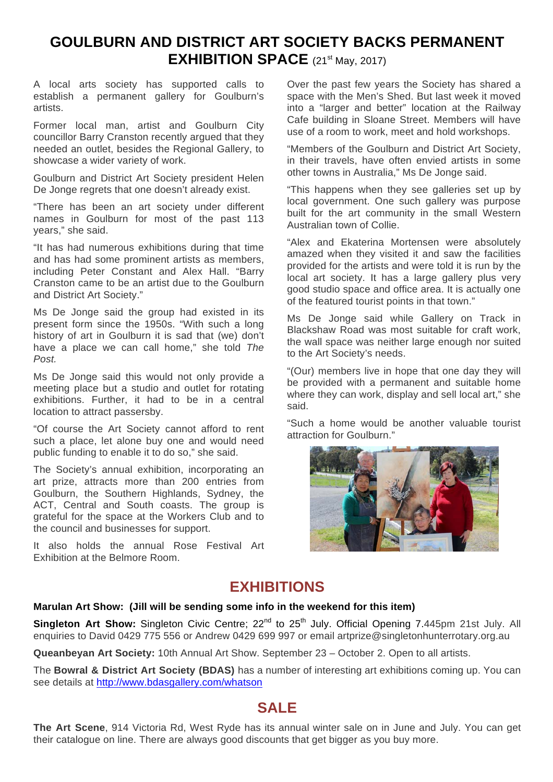## **GOULBURN AND DISTRICT ART SOCIETY BACKS PERMANENT EXHIBITION SPACE** (21<sup>st</sup> May, 2017)

A local arts society has supported calls to establish a permanent gallery for Goulburn's artists.

Former local man, artist and Goulburn City councillor Barry Cranston recently argued that they needed an outlet, besides the Regional Gallery, to showcase a wider variety of work.

Goulburn and District Art Society president Helen De Jonge regrets that one doesn't already exist.

"There has been an art society under different names in Goulburn for most of the past 113 years," she said.

"It has had numerous exhibitions during that time and has had some prominent artists as members, including Peter Constant and Alex Hall. "Barry Cranston came to be an artist due to the Goulburn and District Art Society."

Ms De Jonge said the group had existed in its present form since the 1950s. "With such a long history of art in Goulburn it is sad that (we) don't have a place we can call home," she told *The Post.* 

Ms De Jonge said this would not only provide a meeting place but a studio and outlet for rotating exhibitions. Further, it had to be in a central location to attract passersby.

"Of course the Art Society cannot afford to rent such a place, let alone buy one and would need public funding to enable it to do so," she said.

The Society's annual exhibition, incorporating an art prize, attracts more than 200 entries from Goulburn, the Southern Highlands, Sydney, the ACT. Central and South coasts. The group is grateful for the space at the Workers Club and to the council and businesses for support.

It also holds the annual Rose Festival Art Exhibition at the Belmore Room.

Over the past few years the Society has shared a space with the Men's Shed. But last week it moved into a "larger and better" location at the Railway Cafe building in Sloane Street. Members will have use of a room to work, meet and hold workshops.

"Members of the Goulburn and District Art Society, in their travels, have often envied artists in some other towns in Australia," Ms De Jonge said.

"This happens when they see galleries set up by local government. One such gallery was purpose built for the art community in the small Western Australian town of Collie.

"Alex and Ekaterina Mortensen were absolutely amazed when they visited it and saw the facilities provided for the artists and were told it is run by the local art society. It has a large gallery plus very good studio space and office area. It is actually one of the featured tourist points in that town."

Ms De Jonge said while Gallery on Track in Blackshaw Road was most suitable for craft work, the wall space was neither large enough nor suited to the Art Society's needs.

"(Our) members live in hope that one day they will be provided with a permanent and suitable home where they can work, display and sell local art," she said.

"Such a home would be another valuable tourist attraction for Goulburn."



### **EXHIBITIONS**

#### **Marulan Art Show: (Jill will be sending some info in the weekend for this item)**

**Singleton Art Show:** Singleton Civic Centre; 22<sup>nd</sup> to 25<sup>th</sup> July. Official Opening 7.445pm 21st July. All enquiries to David 0429 775 556 or Andrew 0429 699 997 or email artprize@singletonhunterrotary.org.au

**Queanbeyan Art Society:** 10th Annual Art Show. September 23 – October 2. Open to all artists.

The **Bowral & District Art Society (BDAS)** has a number of interesting art exhibitions coming up. You can see details at http://www.bdasgallery.com/whatson

#### **SALE**

**The Art Scene**, 914 Victoria Rd, West Ryde has its annual winter sale on in June and July. You can get their catalogue on line. There are always good discounts that get bigger as you buy more.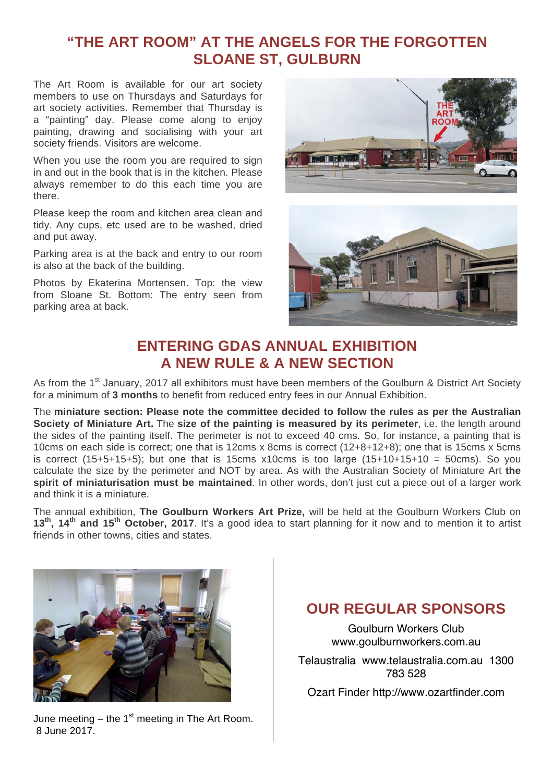## **"THE ART ROOM" AT THE ANGELS FOR THE FORGOTTEN SLOANE ST, GULBURN**

The Art Room is available for our art society members to use on Thursdays and Saturdays for art society activities. Remember that Thursday is a "painting" day. Please come along to enjoy painting, drawing and socialising with your art society friends. Visitors are welcome.

When you use the room you are required to sign in and out in the book that is in the kitchen. Please always remember to do this each time you are there.

Please keep the room and kitchen area clean and tidy. Any cups, etc used are to be washed, dried and put away.

Parking area is at the back and entry to our room is also at the back of the building.

Photos by Ekaterina Mortensen. Top: the view from Sloane St. Bottom: The entry seen from parking area at back.





## **ENTERING GDAS ANNUAL EXHIBITION A NEW RULE & A NEW SECTION**

As from the 1<sup>st</sup> January, 2017 all exhibitors must have been members of the Goulburn & District Art Society for a minimum of **3 months** to benefit from reduced entry fees in our Annual Exhibition.

The **miniature section: Please note the committee decided to follow the rules as per the Australian Society of Miniature Art.** The **size of the painting is measured by its perimeter**, i.e. the length around the sides of the painting itself. The perimeter is not to exceed 40 cms. So, for instance, a painting that is 10cms on each side is correct; one that is 12cms x 8cms is correct (12+8+12+8); one that is 15cms x 5cms is correct (15+5+15+5); but one that is 15cms x10cms is too large (15+10+15+10 = 50cms). So you calculate the size by the perimeter and NOT by area. As with the Australian Society of Miniature Art **the spirit of miniaturisation must be maintained**. In other words, don't just cut a piece out of a larger work and think it is a miniature.

The annual exhibition, **The Goulburn Workers Art Prize,** will be held at the Goulburn Workers Club on **13th, 14th and 15th October, 2017**. It's a good idea to start planning for it now and to mention it to artist friends in other towns, cities and states.



June meeting – the 1 $st$  meeting in The Art Room. 8 June 2017.

## **OUR REGULAR SPONSORS**

Goulburn Workers Club www.goulburnworkers.com.au

Telaustralia www.telaustralia.com.au 1300 783 528

Ozart Finder http://www.ozartfinder.com